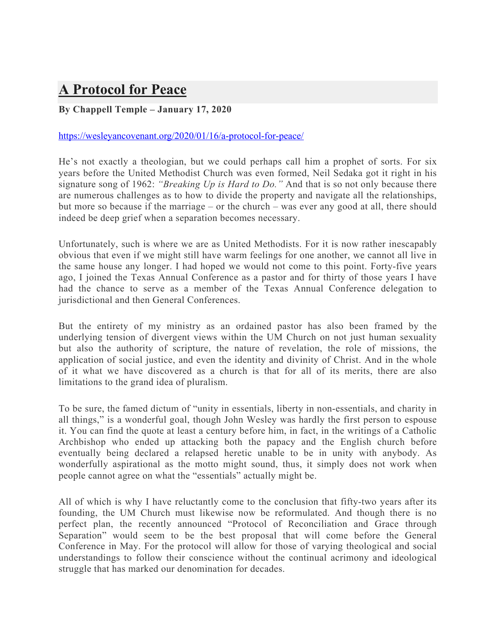## **A Protocol for Peace**

## **By Chappell Temple – January 17, 2020**

## https://wesleyancovenant.org/2020/01/16/a-protocol-for-peace/

He's not exactly a theologian, but we could perhaps call him a prophet of sorts. For six years before the United Methodist Church was even formed, Neil Sedaka got it right in his signature song of 1962: *"Breaking Up is Hard to Do."* And that is so not only because there are numerous challenges as to how to divide the property and navigate all the relationships, but more so because if the marriage – or the church – was ever any good at all, there should indeed be deep grief when a separation becomes necessary.

Unfortunately, such is where we are as United Methodists. For it is now rather inescapably obvious that even if we might still have warm feelings for one another, we cannot all live in the same house any longer. I had hoped we would not come to this point. Forty-five years ago, I joined the Texas Annual Conference as a pastor and for thirty of those years I have had the chance to serve as a member of the Texas Annual Conference delegation to jurisdictional and then General Conferences.

But the entirety of my ministry as an ordained pastor has also been framed by the underlying tension of divergent views within the UM Church on not just human sexuality but also the authority of scripture, the nature of revelation, the role of missions, the application of social justice, and even the identity and divinity of Christ. And in the whole of it what we have discovered as a church is that for all of its merits, there are also limitations to the grand idea of pluralism.

To be sure, the famed dictum of "unity in essentials, liberty in non-essentials, and charity in all things," is a wonderful goal, though John Wesley was hardly the first person to espouse it. You can find the quote at least a century before him, in fact, in the writings of a Catholic Archbishop who ended up attacking both the papacy and the English church before eventually being declared a relapsed heretic unable to be in unity with anybody. As wonderfully aspirational as the motto might sound, thus, it simply does not work when people cannot agree on what the "essentials" actually might be.

All of which is why I have reluctantly come to the conclusion that fifty-two years after its founding, the UM Church must likewise now be reformulated. And though there is no perfect plan, the recently announced "Protocol of Reconciliation and Grace through Separation" would seem to be the best proposal that will come before the General Conference in May. For the protocol will allow for those of varying theological and social understandings to follow their conscience without the continual acrimony and ideological struggle that has marked our denomination for decades.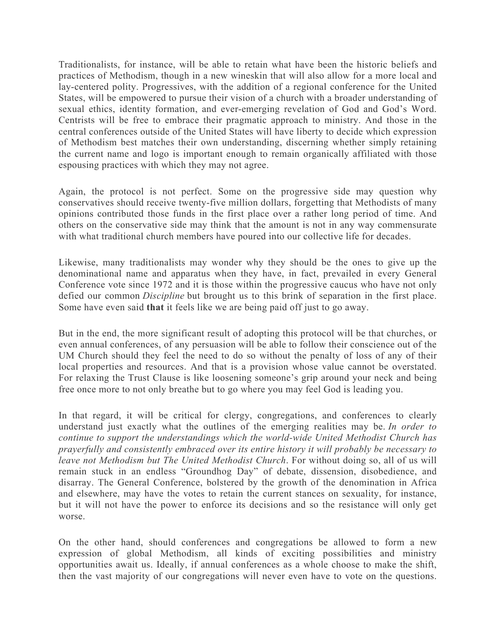Traditionalists, for instance, will be able to retain what have been the historic beliefs and practices of Methodism, though in a new wineskin that will also allow for a more local and lay-centered polity. Progressives, with the addition of a regional conference for the United States, will be empowered to pursue their vision of a church with a broader understanding of sexual ethics, identity formation, and ever-emerging revelation of God and God's Word. Centrists will be free to embrace their pragmatic approach to ministry. And those in the central conferences outside of the United States will have liberty to decide which expression of Methodism best matches their own understanding, discerning whether simply retaining the current name and logo is important enough to remain organically affiliated with those espousing practices with which they may not agree.

Again, the protocol is not perfect. Some on the progressive side may question why conservatives should receive twenty-five million dollars, forgetting that Methodists of many opinions contributed those funds in the first place over a rather long period of time. And others on the conservative side may think that the amount is not in any way commensurate with what traditional church members have poured into our collective life for decades.

Likewise, many traditionalists may wonder why they should be the ones to give up the denominational name and apparatus when they have, in fact, prevailed in every General Conference vote since 1972 and it is those within the progressive caucus who have not only defied our common *Discipline* but brought us to this brink of separation in the first place. Some have even said **that** it feels like we are being paid off just to go away.

But in the end, the more significant result of adopting this protocol will be that churches, or even annual conferences, of any persuasion will be able to follow their conscience out of the UM Church should they feel the need to do so without the penalty of loss of any of their local properties and resources. And that is a provision whose value cannot be overstated. For relaxing the Trust Clause is like loosening someone's grip around your neck and being free once more to not only breathe but to go where you may feel God is leading you.

In that regard, it will be critical for clergy, congregations, and conferences to clearly understand just exactly what the outlines of the emerging realities may be. *In order to continue to support the understandings which the world-wide United Methodist Church has prayerfully and consistently embraced over its entire history it will probably be necessary to leave not Methodism but The United Methodist Church*. For without doing so, all of us will remain stuck in an endless "Groundhog Day" of debate, dissension, disobedience, and disarray. The General Conference, bolstered by the growth of the denomination in Africa and elsewhere, may have the votes to retain the current stances on sexuality, for instance, but it will not have the power to enforce its decisions and so the resistance will only get worse.

On the other hand, should conferences and congregations be allowed to form a new expression of global Methodism, all kinds of exciting possibilities and ministry opportunities await us. Ideally, if annual conferences as a whole choose to make the shift, then the vast majority of our congregations will never even have to vote on the questions.